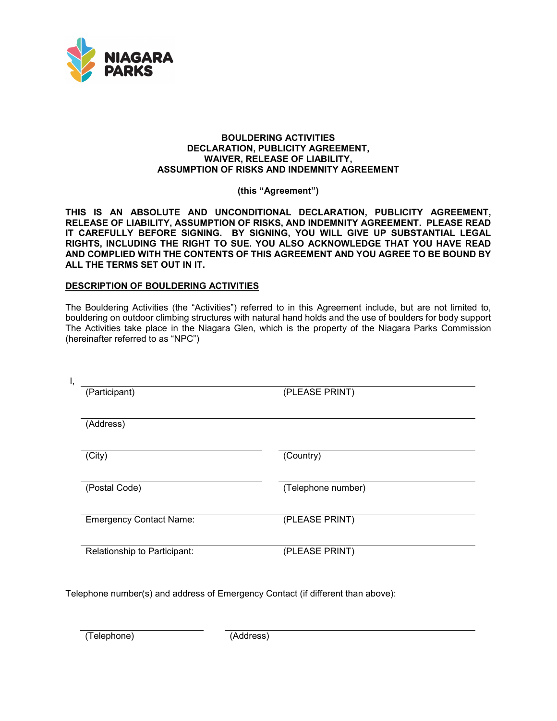

#### **BOULDERING ACTIVITIES DECLARATION, PUBLICITY AGREEMENT, WAIVER, RELEASE OF LIABILITY, ASSUMPTION OF RISKS AND INDEMNITY AGREEMENT**

**(this "Agreement")** 

 **THIS IS AN ABSOLUTE AND UNCONDITIONAL DECLARATION, PUBLICITY AGREEMENT, AND COMPLIED WITH THE CONTENTS OF THIS AGREEMENT AND YOU AGREE TO BE BOUND BY RELEASE OF LIABILITY, ASSUMPTION OF RISKS, AND INDEMNITY AGREEMENT. PLEASE READ IT CAREFULLY BEFORE SIGNING. BY SIGNING, YOU WILL GIVE UP SUBSTANTIAL LEGAL RIGHTS, INCLUDING THE RIGHT TO SUE. YOU ALSO ACKNOWLEDGE THAT YOU HAVE READ ALL THE TERMS SET OUT IN IT.** 

#### **DESCRIPTION OF BOULDERING ACTIVITIES**

The Bouldering Activities (the "Activities") referred to in this Agreement include, but are not limited to, bouldering on outdoor climbing structures with natural hand holds and the use of boulders for body support The Activities take place in the Niagara Glen, which is the property of the Niagara Parks Commission (hereinafter referred to as "NPC")

| Ι, |                                |                    |
|----|--------------------------------|--------------------|
|    | (Participant)                  | (PLEASE PRINT)     |
|    | (Address)                      |                    |
|    | (City)                         | (Country)          |
|    | (Postal Code)                  | (Telephone number) |
|    | <b>Emergency Contact Name:</b> | (PLEASE PRINT)     |
|    | Relationship to Participant:   | (PLEASE PRINT)     |

Telephone number(s) and address of Emergency Contact (if different than above):

(Telephone) (Address)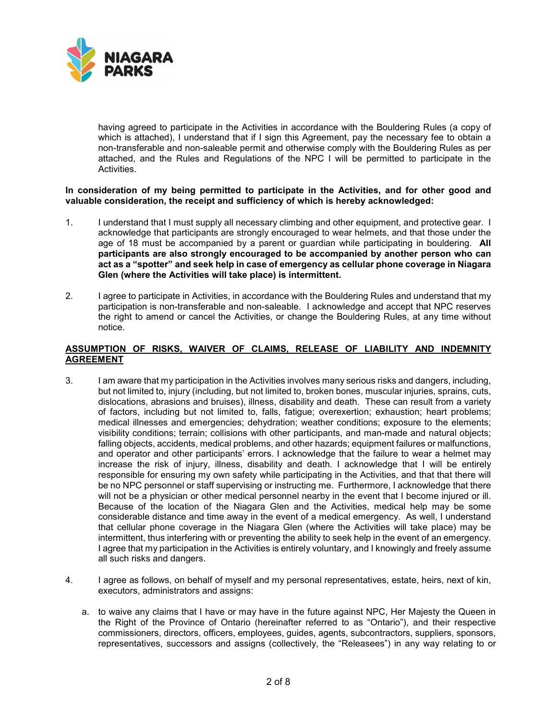

 having agreed to participate in the Activities in accordance with the Bouldering Rules (a copy of which is attached), I understand that if I sign this Agreement, pay the necessary fee to obtain a non-transferable and non-saleable permit and otherwise comply with the Bouldering Rules as per attached, and the Rules and Regulations of the NPC I will be permitted to participate in the Activities.

#### **In consideration of my being permitted to participate in the Activities, and for other good and valuable consideration, the receipt and sufficiency of which is hereby acknowledged:**

- acknowledge that participants are strongly encouraged to wear helmets, and that those under the age of 18 must be accompanied by a parent or guardian while participating in bouldering. **All participants are also strongly encouraged to be accompanied by another person who can**  1. I understand that I must supply all necessary climbing and other equipment, and protective gear. I **act as a "spotter" and seek help in case of emergency as cellular phone coverage in Niagara Glen (where the Activities will take place) is intermittent.**
- the right to amend or cancel the Activities, or change the Bouldering Rules, at any time without 2. I agree to participate in Activities, in accordance with the Bouldering Rules and understand that my participation is non-transferable and non-saleable. I acknowledge and accept that NPC reserves notice.

## **ASSUMPTION OF RISKS, WAIVER OF CLAIMS, RELEASE OF LIABILITY AND INDEMNITY AGREEMENT**

- but not limited to, injury (including, but not limited to, broken bones, muscular injuries, sprains, cuts, medical illnesses and emergencies; dehydration; weather conditions; exposure to the elements; visibility conditions; terrain; collisions with other participants, and man-made and natural objects; and operator and other participants' errors. I acknowledge that the failure to wear a helmet may increase the risk of injury, illness, disability and death. I acknowledge that I will be entirely responsible for ensuring my own safety while participating in the Activities, and that that there will be no NPC personnel or staff supervising or instructing me. Furthermore, I acknowledge that there Because of the location of the Niagara Glen and the Activities, medical help may be some considerable distance and time away in the event of a medical emergency. As well, I understand intermittent, thus interfering with or preventing the ability to seek help in the event of an emergency. 3. I am aware that my participation in the Activities involves many serious risks and dangers, including, dislocations, abrasions and bruises), illness, disability and death. These can result from a variety of factors, including but not limited to, falls, fatigue; overexertion; exhaustion; heart problems; falling objects, accidents, medical problems, and other hazards; equipment failures or malfunctions, will not be a physician or other medical personnel nearby in the event that I become injured or ill. that cellular phone coverage in the Niagara Glen (where the Activities will take place) may be I agree that my participation in the Activities is entirely voluntary, and I knowingly and freely assume all such risks and dangers.
- 4. I agree as follows, on behalf of myself and my personal representatives, estate, heirs, next of kin, executors, administrators and assigns:
	- a. to waive any claims that I have or may have in the future against NPC, Her Majesty the Queen in the Right of the Province of Ontario (hereinafter referred to as "Ontario"), and their respective commissioners, directors, officers, employees, guides, agents, subcontractors, suppliers, sponsors, representatives, successors and assigns (collectively, the "Releasees") in any way relating to or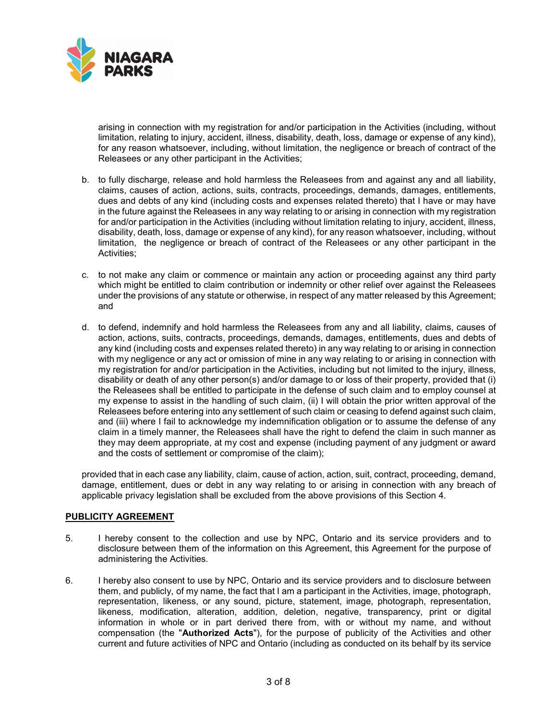

 arising in connection with my registration for and/or participation in the Activities (including, without for any reason whatsoever, including, without limitation, the negligence or breach of contract of the Releasees or any other participant in the Activities; limitation, relating to injury, accident, illness, disability, death, loss, damage or expense of any kind),

- Releasees or any other participant in the Activities;<br>b. to fully discharge, release and hold harmless the Releasees from and against any and all liability, claims, causes of action, actions, suits, contracts, proceedings, demands, damages, entitlements, dues and debts of any kind (including costs and expenses related thereto) that I have or may have for and/or participation in the Activities (including without limitation relating to injury, accident, illness, disability, death, loss, damage or expense of any kind), for any reason whatsoever, including, without limitation, the negligence or breach of contract of the Releasees or any other participant in the in the future against the Releasees in any way relating to or arising in connection with my registration Activities;
- c. to not make any claim or commence or maintain any action or proceeding against any third party which might be entitled to claim contribution or indemnity or other relief over against the Releasees under the provisions of any statute or otherwise, in respect of any matter released by this Agreement; and
- d. to defend, indemnify and hold harmless the Releasees from any and all liability, claims, causes of action, actions, suits, contracts, proceedings, demands, damages, entitlements, dues and debts of any kind (including costs and expenses related thereto) in any way relating to or arising in connection the Releasees shall be entitled to participate in the defense of such claim and to employ counsel at my expense to assist in the handling of such claim, (ii) I will obtain the prior written approval of the with my negligence or any act or omission of mine in any way relating to or arising in connection with my registration for and/or participation in the Activities, including but not limited to the injury, illness, disability or death of any other person(s) and/or damage to or loss of their property, provided that (i) Releasees before entering into any settlement of such claim or ceasing to defend against such claim, and (iii) where I fail to acknowledge my indemnification obligation or to assume the defense of any claim in a timely manner, the Releasees shall have the right to defend the claim in such manner as they may deem appropriate, at my cost and expense (including payment of any judgment or award and the costs of settlement or compromise of the claim);

 damage, entitlement, dues or debt in any way relating to or arising in connection with any breach of provided that in each case any liability, claim, cause of action, action, suit, contract, proceeding, demand, applicable privacy legislation shall be excluded from the above provisions of this Section 4.

#### **PUBLICITY AGREEMENT**

- 5. I hereby consent to the collection and use by NPC, Ontario and its service providers and to disclosure between them of the information on this Agreement, this Agreement for the purpose of administering the Activities.
- them, and publicly, of my name, the fact that I am a participant in the Activities, image, photograph, likeness, modification, alteration, addition, deletion, negative, transparency, print or digital information in whole or in part derived there from, with or without my name, and without current and future activities of NPC and Ontario (including as conducted on its behalf by its service 6. I hereby also consent to use by NPC, Ontario and its service providers and to disclosure between representation, likeness, or any sound, picture, statement, image, photograph, representation, compensation (the "**Authorized Acts**"), for the purpose of publicity of the Activities and other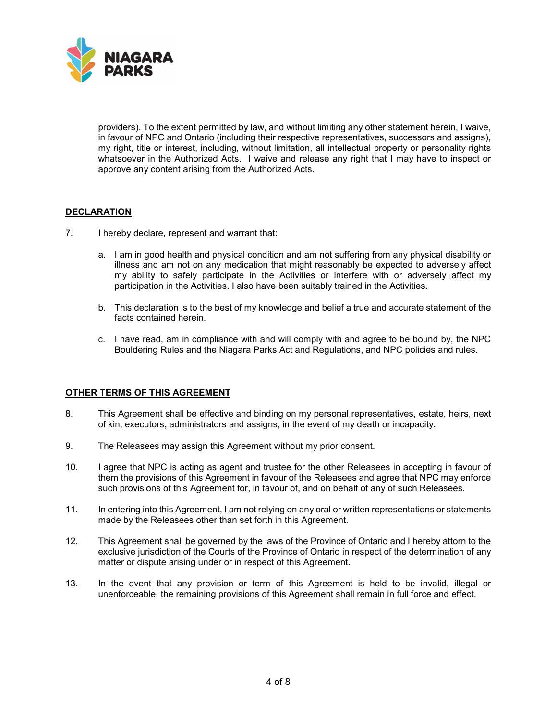

 providers). To the extent permitted by law, and without limiting any other statement herein, I waive, my right, title or interest, including, without limitation, all intellectual property or personality rights whatsoever in the Authorized Acts. I waive and release any right that I may have to inspect or in favour of NPC and Ontario (including their respective representatives, successors and assigns), approve any content arising from the Authorized Acts.

## **DECLARATION**

- 7. I hereby declare, represent and warrant that:
	- a. I am in good health and physical condition and am not suffering from any physical disability or illness and am not on any medication that might reasonably be expected to adversely affect my ability to safely participate in the Activities or interfere with or adversely affect my participation in the Activities. I also have been suitably trained in the Activities.
	- b. This declaration is to the best of my knowledge and belief a true and accurate statement of the facts contained herein.
	- c. I have read, am in compliance with and will comply with and agree to be bound by, the NPC Bouldering Rules and the Niagara Parks Act and Regulations, and NPC policies and rules.

## **OTHER TERMS OF THIS AGREEMENT**

- 8. This Agreement shall be effective and binding on my personal representatives, estate, heirs, next of kin, executors, administrators and assigns, in the event of my death or incapacity.
- 9. The Releasees may assign this Agreement without my prior consent.
- 10. I agree that NPC is acting as agent and trustee for the other Releasees in accepting in favour of them the provisions of this Agreement in favour of the Releasees and agree that NPC may enforce such provisions of this Agreement for, in favour of, and on behalf of any of such Releasees.
- 11. In entering into this Agreement, I am not relying on any oral or written representations or statements made by the Releasees other than set forth in this Agreement.
- 12. This Agreement shall be governed by the laws of the Province of Ontario and I hereby attorn to the exclusive jurisdiction of the Courts of the Province of Ontario in respect of the determination of any matter or dispute arising under or in respect of this Agreement.
- 13. In the event that any provision or term of this Agreement is held to be invalid, illegal or unenforceable, the remaining provisions of this Agreement shall remain in full force and effect.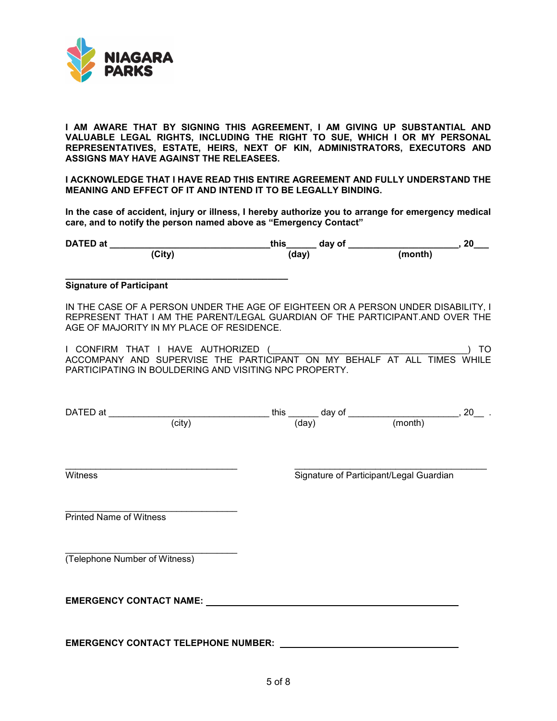

 **I AM AWARE THAT BY SIGNING THIS AGREEMENT, I AM GIVING UP SUBSTANTIAL AND VALUABLE LEGAL RIGHTS, INCLUDING THE RIGHT TO SUE, WHICH I OR MY PERSONAL REPRESENTATIVES, ESTATE, HEIRS, NEXT OF KIN, ADMINISTRATORS, EXECUTORS AND ASSIGNS MAY HAVE AGAINST THE RELEASEES.** 

**I ACKNOWLEDGE THAT I HAVE READ THIS ENTIRE AGREEMENT AND FULLY UNDERSTAND THE MEANING AND EFFECT OF IT AND INTEND IT TO BE LEGALLY BINDING.**

 **In the case of accident, injury or illness, I hereby authorize you to arrange for emergency medical care, and to notify the person named above as "Emergency Contact"** 

| <b>Signature of Participant</b>                                                                                                                                                                                 |  |                                         |  |
|-----------------------------------------------------------------------------------------------------------------------------------------------------------------------------------------------------------------|--|-----------------------------------------|--|
| IN THE CASE OF A PERSON UNDER THE AGE OF EIGHTEEN OR A PERSON UNDER DISABILITY, I<br>REPRESENT THAT I AM THE PARENT/LEGAL GUARDIAN OF THE PARTICIPANT.AND OVER THE<br>AGE OF MAJORITY IN MY PLACE OF RESIDENCE. |  |                                         |  |
| ACCOMPANY AND SUPERVISE THE PARTICIPANT ON MY BEHALF AT ALL TIMES WHILE<br>PARTICIPATING IN BOULDERING AND VISITING NPC PROPERTY.                                                                               |  |                                         |  |
|                                                                                                                                                                                                                 |  |                                         |  |
| Witness                                                                                                                                                                                                         |  | Signature of Participant/Legal Guardian |  |
| <b>Printed Name of Witness</b>                                                                                                                                                                                  |  |                                         |  |
| (Telephone Number of Witness)                                                                                                                                                                                   |  |                                         |  |
| <b>EMERGENCY CONTACT NAME:</b>                                                                                                                                                                                  |  |                                         |  |
|                                                                                                                                                                                                                 |  |                                         |  |

 **EMERGENCY CONTACT TELEPHONE NUMBER:**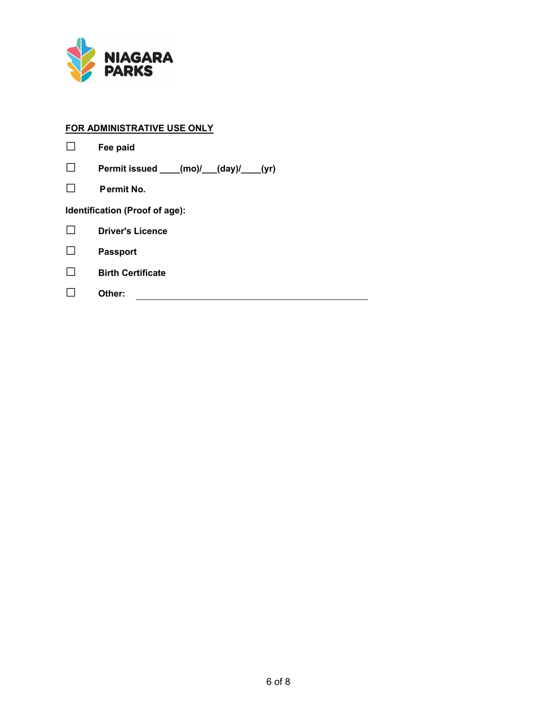

# **FOR ADMINISTRATIVE USE ONLY**

|                                | Fee paid                              |  |  |  |  |
|--------------------------------|---------------------------------------|--|--|--|--|
|                                | Permit issued ___(mo)/__(day)/___(yr) |  |  |  |  |
|                                | Permit No.                            |  |  |  |  |
| Identification (Proof of age): |                                       |  |  |  |  |
|                                | <b>Driver's Licence</b>               |  |  |  |  |
|                                | <b>Passport</b>                       |  |  |  |  |
|                                | <b>Birth Certificate</b>              |  |  |  |  |
|                                | Other:                                |  |  |  |  |
|                                |                                       |  |  |  |  |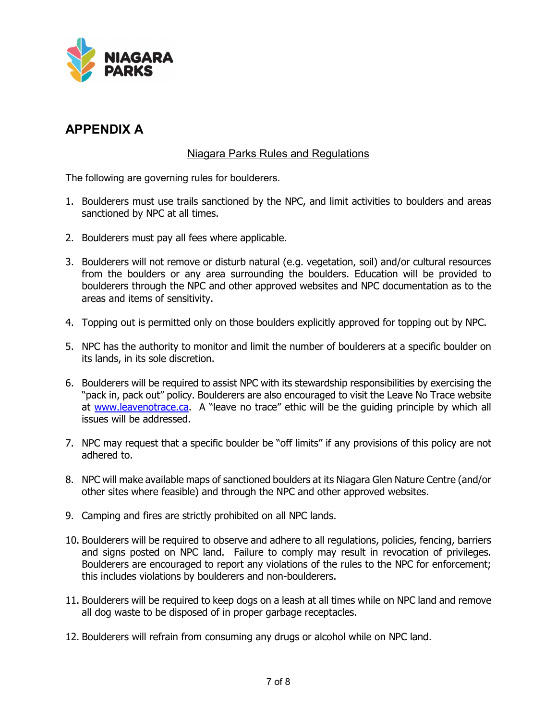

# **APPENDIX A**

# Niagara Parks Rules and Regulations

The following are governing rules for boulderers.

- sanctioned by NPC at all times. 1. Boulderers must use trails sanctioned by the NPC, and limit activities to boulders and areas
- 2. Boulderers must pay all fees where applicable.
- 3. Boulderers will not remove or disturb natural (e.g. vegetation, soil) and/or cultural resources boulderers through the NPC and other approved websites and NPC documentation as to the areas and items of sensitivity. from the boulders or any area surrounding the boulders. Education will be provided to
- 4. Topping out is permitted only on those boulders explicitly approved for topping out by NPC.
- 5. NPC has the authority to monitor and limit the number of boulderers at a specific boulder on its lands, in its sole discretion.
- "pack in, pack out" policy. Boulderers are also encouraged to visit the Leave No Trace website at <u>www.leavenotrace.ca</u>. A "leave no trace" ethic will be the guiding principle by which all issues will be addressed. 6. Boulderers will be required to assist NPC with its stewardship responsibilities by exercising the
- 7. NPC may request that a specific boulder be "off limits" if any provisions of this policy are not adhered to.
- 8. NPC will make available maps of sanctioned boulders at its Niagara Glen Nature Centre (and/or other sites where feasible) and through the NPC and other approved websites.
- 9. Camping and fires are strictly prohibited on all NPC lands.
- and signs posted on NPC land. Failure to comply may result in revocation of privileges. Boulderers are encouraged to report any violations of the rules to the NPC for enforcement; this includes violations by boulderers and non-boulderers. 10. Boulderers will be required to observe and adhere to all regulations, policies, fencing, barriers
- all dog waste to be disposed of in proper garbage receptacles. 11. Boulderers will be required to keep dogs on a leash at all times while on NPC land and remove
- 12. Boulderers will refrain from consuming any drugs or alcohol while on NPC land.